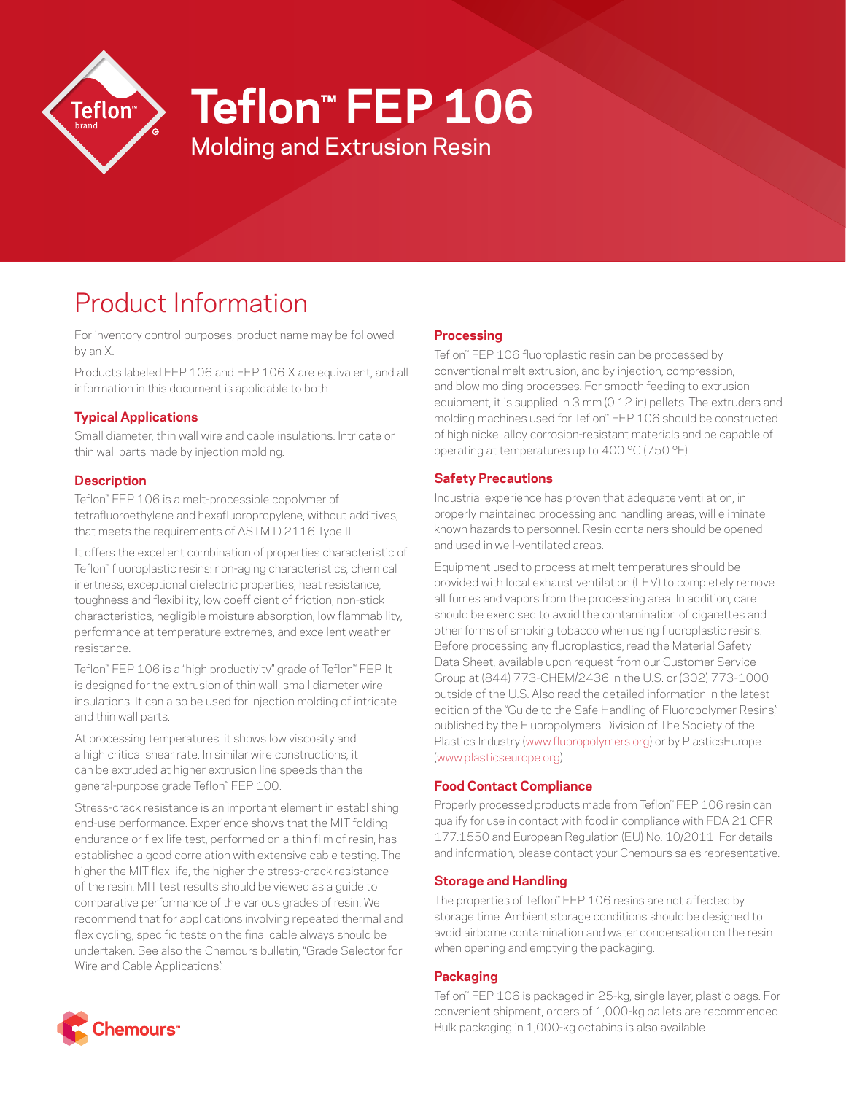

# **Teflon™ FEP 106**

Molding and Extrusion Resin

# Product Information

For inventory control purposes, product name may be followed by an X.

Products labeled FEP 106 and FEP 106 X are equivalent, and all information in this document is applicable to both.

## **Typical Applications**

Small diameter, thin wall wire and cable insulations. Intricate or thin wall parts made by injection molding.

#### **Description**

Teflon™ FEP 106 is a melt-processible copolymer of tetrafluoroethylene and hexafluoropropylene, without additives, that meets the requirements of ASTM D 2116 Type II.

It offers the excellent combination of properties characteristic of Teflon™ fluoroplastic resins: non-aging characteristics, chemical inertness, exceptional dielectric properties, heat resistance, toughness and flexibility, low coefficient of friction, non-stick characteristics, negligible moisture absorption, low flammability, performance at temperature extremes, and excellent weather resistance.

Teflon™ FEP 106 is a "high productivity" grade of Teflon™ FEP. It is designed for the extrusion of thin wall, small diameter wire insulations. It can also be used for injection molding of intricate and thin wall parts.

At processing temperatures, it shows low viscosity and a high critical shear rate. In similar wire constructions, it can be extruded at higher extrusion line speeds than the general-purpose grade Teflon™ FEP 100.

Stress-crack resistance is an important element in establishing end-use performance. Experience shows that the MIT folding endurance or flex life test, performed on a thin film of resin, has established a good correlation with extensive cable testing. The higher the MIT flex life, the higher the stress-crack resistance of the resin. MIT test results should be viewed as a guide to comparative performance of the various grades of resin. We recommend that for applications involving repeated thermal and flex cycling, specific tests on the final cable always should be undertaken. See also the Chemours bulletin, "Grade Selector for Wire and Cable Applications."

#### **Processing**

Teflon™ FEP 106 fluoroplastic resin can be processed by conventional melt extrusion, and by injection, compression, and blow molding processes. For smooth feeding to extrusion equipment, it is supplied in 3 mm (0.12 in) pellets. The extruders and molding machines used for Teflon™ FEP 106 should be constructed of high nickel alloy corrosion-resistant materials and be capable of operating at temperatures up to 400 °C (750 °F).

## **Safety Precautions**

Industrial experience has proven that adequate ventilation, in properly maintained processing and handling areas, will eliminate known hazards to personnel. Resin containers should be opened and used in well-ventilated areas.

Equipment used to process at melt temperatures should be provided with local exhaust ventilation (LEV) to completely remove all fumes and vapors from the processing area. In addition, care should be exercised to avoid the contamination of cigarettes and other forms of smoking tobacco when using fluoroplastic resins. Before processing any fluoroplastics, read the Material Safety Data Sheet, available upon request from our Customer Service Group at (844) 773-CHEM/2436 in the U.S. or (302) 773-1000 outside of the U.S. Also read the detailed information in the latest edition of the "Guide to the Safe Handling of Fluoropolymer Resins." published by the Fluoropolymers Division of The Society of the Plastics Industry [\(www.fluoropolymers.org](http://www.fluoropolymers.org)) or by PlasticsEurope [\(www.plasticseurope.org](http://www.plasticseurope.org)).

#### **Food Contact Compliance**

Properly processed products made from Teflon™ FEP 106 resin can qualify for use in contact with food in compliance with FDA 21 CFR 177.1550 and European Regulation (EU) No. 10/2011. For details and information, please contact your Chemours sales representative.

#### **Storage and Handling**

The properties of Teflon™ FEP 106 resins are not affected by storage time. Ambient storage conditions should be designed to avoid airborne contamination and water condensation on the resin when opening and emptying the packaging.

## **Packaging**

Teflon™ FEP 106 is packaged in 25-kg, single layer, plastic bags. For convenient shipment, orders of 1,000-kg pallets are recommended. Bulk packaging in 1,000-kg octabins is also available.